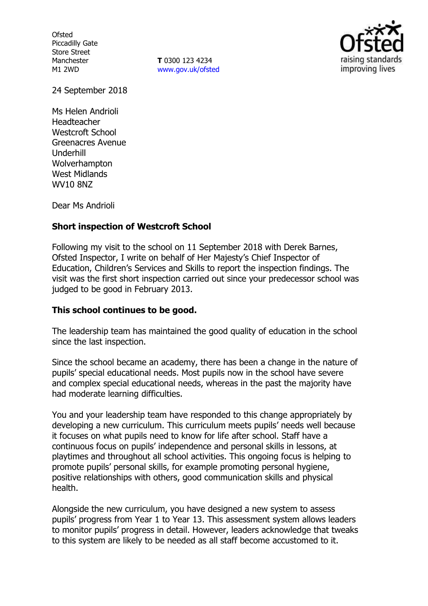**Ofsted** Piccadilly Gate Store Street Manchester M1 2WD

**T** 0300 123 4234 www.gov.uk/ofsted



24 September 2018

Ms Helen Andrioli Headteacher Westcroft School Greenacres Avenue Underhill Wolverhampton West Midlands WV10 8NZ

Dear Ms Andrioli

### **Short inspection of Westcroft School**

Following my visit to the school on 11 September 2018 with Derek Barnes, Ofsted Inspector, I write on behalf of Her Majesty's Chief Inspector of Education, Children's Services and Skills to report the inspection findings. The visit was the first short inspection carried out since your predecessor school was judged to be good in February 2013.

### **This school continues to be good.**

The leadership team has maintained the good quality of education in the school since the last inspection.

Since the school became an academy, there has been a change in the nature of pupils' special educational needs. Most pupils now in the school have severe and complex special educational needs, whereas in the past the majority have had moderate learning difficulties.

You and your leadership team have responded to this change appropriately by developing a new curriculum. This curriculum meets pupils' needs well because it focuses on what pupils need to know for life after school. Staff have a continuous focus on pupils' independence and personal skills in lessons, at playtimes and throughout all school activities. This ongoing focus is helping to promote pupils' personal skills, for example promoting personal hygiene, positive relationships with others, good communication skills and physical health.

Alongside the new curriculum, you have designed a new system to assess pupils' progress from Year 1 to Year 13. This assessment system allows leaders to monitor pupils' progress in detail. However, leaders acknowledge that tweaks to this system are likely to be needed as all staff become accustomed to it.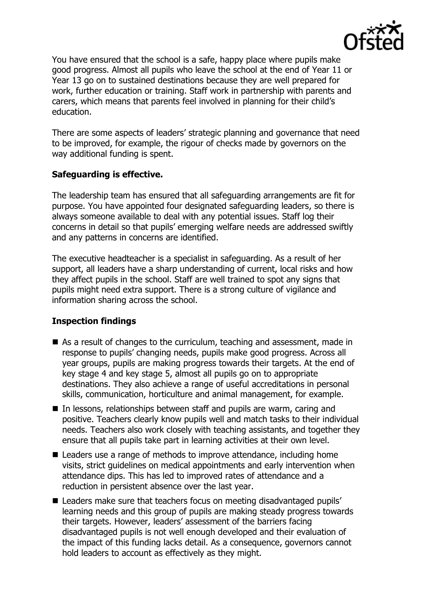

You have ensured that the school is a safe, happy place where pupils make good progress. Almost all pupils who leave the school at the end of Year 11 or Year 13 go on to sustained destinations because they are well prepared for work, further education or training. Staff work in partnership with parents and carers, which means that parents feel involved in planning for their child's education.

There are some aspects of leaders' strategic planning and governance that need to be improved, for example, the rigour of checks made by governors on the way additional funding is spent.

### **Safeguarding is effective.**

The leadership team has ensured that all safeguarding arrangements are fit for purpose. You have appointed four designated safeguarding leaders, so there is always someone available to deal with any potential issues. Staff log their concerns in detail so that pupils' emerging welfare needs are addressed swiftly and any patterns in concerns are identified.

The executive headteacher is a specialist in safeguarding. As a result of her support, all leaders have a sharp understanding of current, local risks and how they affect pupils in the school. Staff are well trained to spot any signs that pupils might need extra support. There is a strong culture of vigilance and information sharing across the school.

### **Inspection findings**

- As a result of changes to the curriculum, teaching and assessment, made in response to pupils' changing needs, pupils make good progress. Across all year groups, pupils are making progress towards their targets. At the end of key stage 4 and key stage 5, almost all pupils go on to appropriate destinations. They also achieve a range of useful accreditations in personal skills, communication, horticulture and animal management, for example.
- In lessons, relationships between staff and pupils are warm, caring and positive. Teachers clearly know pupils well and match tasks to their individual needs. Teachers also work closely with teaching assistants, and together they ensure that all pupils take part in learning activities at their own level.
- Leaders use a range of methods to improve attendance, including home visits, strict guidelines on medical appointments and early intervention when attendance dips. This has led to improved rates of attendance and a reduction in persistent absence over the last year.
- Leaders make sure that teachers focus on meeting disadvantaged pupils' learning needs and this group of pupils are making steady progress towards their targets. However, leaders' assessment of the barriers facing disadvantaged pupils is not well enough developed and their evaluation of the impact of this funding lacks detail. As a consequence, governors cannot hold leaders to account as effectively as they might.